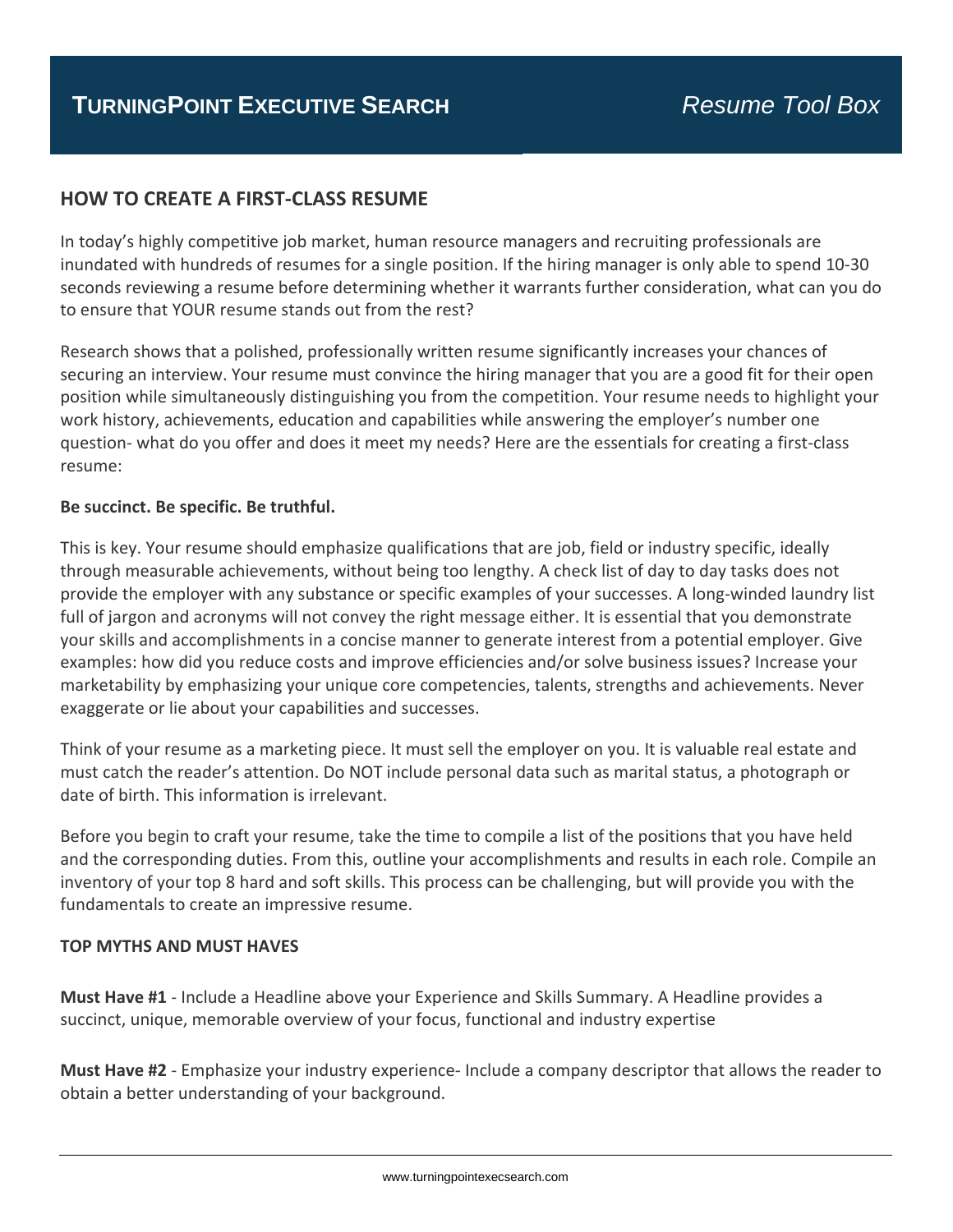# **HOW TO CREATE A FIRST‐CLASS RESUME**

In today's highly competitive job market, human resource managers and recruiting professionals are inundated with hundreds of resumes for a single position. If the hiring manager is only able to spend 10‐30 seconds reviewing a resume before determining whether it warrants further consideration, what can you do to ensure that YOUR resume stands out from the rest?

Research shows that a polished, professionally written resume significantly increases your chances of securing an interview. Your resume must convince the hiring manager that you are a good fit for their open position while simultaneously distinguishing you from the competition. Your resume needs to highlight your work history, achievements, education and capabilities while answering the employer's number one question‐ what do you offer and does it meet my needs? Here are the essentials for creating a first‐class resume:

## **Be succinct. Be specific. Be truthful.**

This is key. Your resume should emphasize qualifications that are job, field or industry specific, ideally through measurable achievements, without being too lengthy. A check list of day to day tasks does not provide the employer with any substance or specific examples of your successes. A long‐winded laundry list full of jargon and acronyms will not convey the right message either. It is essential that you demonstrate your skills and accomplishments in a concise manner to generate interest from a potential employer. Give examples: how did you reduce costs and improve efficiencies and/or solve business issues? Increase your marketability by emphasizing your unique core competencies, talents, strengths and achievements. Never exaggerate or lie about your capabilities and successes.

Think of your resume as a marketing piece. It must sell the employer on you. It is valuable real estate and must catch the reader's attention. Do NOT include personal data such as marital status, a photograph or date of birth. This information is irrelevant.

Before you begin to craft your resume, take the time to compile a list of the positions that you have held and the corresponding duties. From this, outline your accomplishments and results in each role. Compile an inventory of your top 8 hard and soft skills. This process can be challenging, but will provide you with the fundamentals to create an impressive resume.

#### **TOP MYTHS AND MUST HAVES**

**Must Have #1** ‐ Include a Headline above your Experience and Skills Summary. A Headline provides a succinct, unique, memorable overview of your focus, functional and industry expertise

**Must Have #2** ‐ Emphasize your industry experience‐ Include a company descriptor that allows the reader to obtain a better understanding of your background.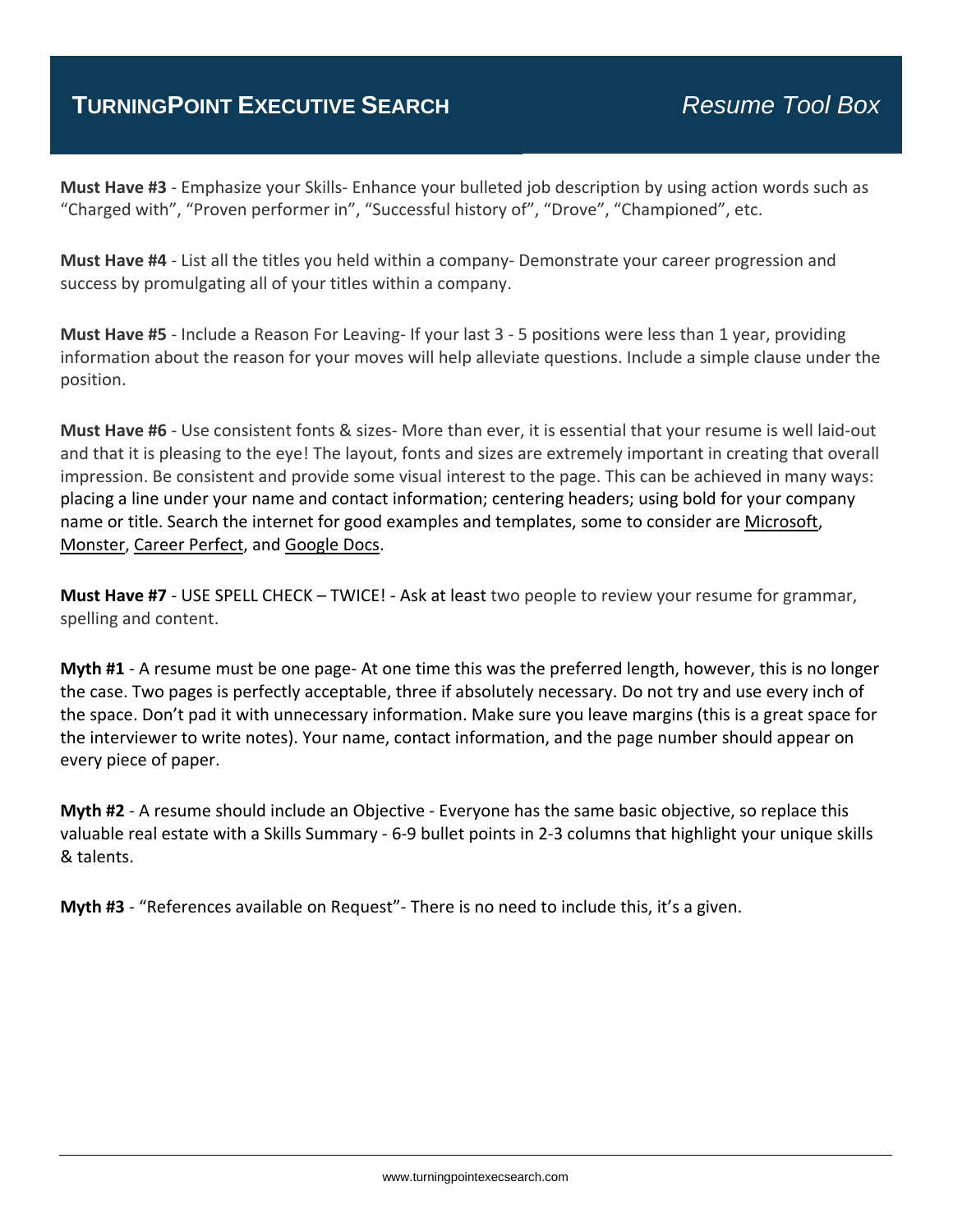# **TURNINGPOINT EXECUTIVE SEARCH** *Resume Tool Box*

**Must Have #3** ‐ Emphasize your Skills‐ Enhance your bulleted job description by using action words such as "Charged with", "Proven performer in", "Successful history of", "Drove", "Championed", etc.

**Must Have #4** ‐ List all the titles you held within a company‐ Demonstrate your career progression and success by promulgating all of your titles within a company.

**Must Have #5** ‐ Include a Reason For Leaving‐ If your last 3 ‐ 5 positions were less than 1 year, providing information about the reason for your moves will help alleviate questions. Include a simple clause under the position.

**Must Have #6** ‐ Use consistent fonts & sizes‐ More than ever, it is essential that your resume is well laid‐out and that it is pleasing to the eye! The layout, fonts and sizes are extremely important in creating that overall impression. Be consistent and provide some visual interest to the page. This can be achieved in many ways: placing a line under your name and contact information; centering headers; using bold for your company name or title. Search the internet for good examples and templates, some to consider are Microsoft, Monster, Career Perfect, and Google Docs.

**Must Have #7** ‐ USE SPELL CHECK – TWICE! ‐ Ask at least two people to review your resume for grammar, spelling and content.

**Myth #1** ‐ A resume must be one page‐ At one time this was the preferred length, however, this is no longer the case. Two pages is perfectly acceptable, three if absolutely necessary. Do not try and use every inch of the space. Don't pad it with unnecessary information. Make sure you leave margins (this is a great space for the interviewer to write notes). Your name, contact information, and the page number should appear on every piece of paper.

**Myth #2** ‐ A resume should include an Objective ‐ Everyone has the same basic objective, so replace this valuable real estate with a Skills Summary ‐ 6‐9 bullet points in 2‐3 columns that highlight your unique skills & talents.

**Myth #3** ‐ "References available on Request"‐ There is no need to include this, it's a given.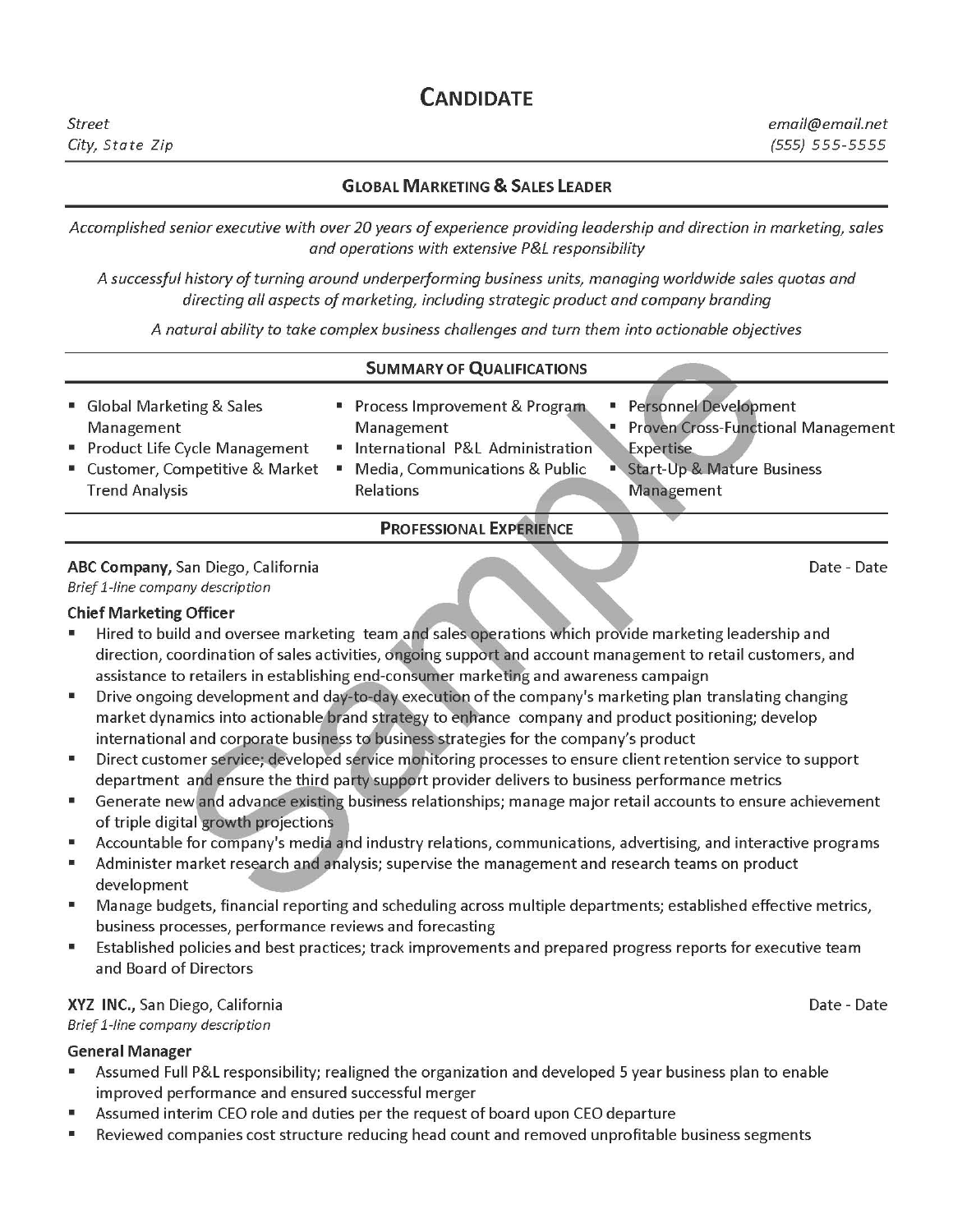# **CANDIDATE**

# **GLOBAL MARKETING & SALES LEADER**

Accomplished senior executive with over 20 years of experience providing leadership and direction in marketing, sales and operations with extensive P&L responsibility

A successful history of turning around underperforming business units, managing worldwide sales quotas and directing all aspects of marketing, including strategic product and company branding

A natural ability to take complex business challenges and turn them into actionable objectives

#### **SUMMARY OF QUALIFICATIONS**

Global Marketing & Sales Process Improvement & Program Personnel Development Management Proven Cross-Functional Management Management Product Life Cycle Management · International P&L Administration **Expertise** Start-Up & Mature Business " Customer, Competitive & Market • Media, Communications & Public **Trend Analysis Relations** Management

**PROFESSIONAL EXPERIENCE** 

#### ABC Company, San Diego, California Brief 1-line company description

#### **Chief Marketing Officer**

- Hired to build and oversee marketing team and sales operations which provide marketing leadership and M. direction, coordination of sales activities, ongoing support and account management to retail customers, and assistance to retailers in establishing end-consumer marketing and awareness campaign
- Drive ongoing development and day-to-day execution of the company's marketing plan translating changing m market dynamics into actionable brand strategy to enhance company and product positioning; develop international and corporate business to business strategies for the company's product
- Direct customer service; developed service monitoring processes to ensure client retention service to support 置 department and ensure the third party support provider delivers to business performance metrics
- Generate new and advance existing business relationships; manage major retail accounts to ensure achievement  $\blacksquare$ of triple digital growth projections
- Accountable for company's media and industry relations, communications, advertising, and interactive programs  $\overline{\mathbf{a}}$
- $\mathbf{u}$ Administer market research and analysis; supervise the management and research teams on product development
- Manage budgets, financial reporting and scheduling across multiple departments; established effective metrics,  $\blacksquare$ business processes, performance reviews and forecasting
- Established policies and best practices; track improvements and prepared progress reports for executive team  $\mathbf{u}$ and Board of Directors

#### XYZ INC., San Diego, California

Brief 1-line company description

#### **General Manager**

- Assumed Full P&L responsibility; realigned the organization and developed 5 year business plan to enable ш improved performance and ensured successful merger
- Assumed interim CEO role and duties per the request of board upon CEO departure  $\mathbf{u}$
- Reviewed companies cost structure reducing head count and removed unprofitable business segments g,

Date - Date

Date - Date